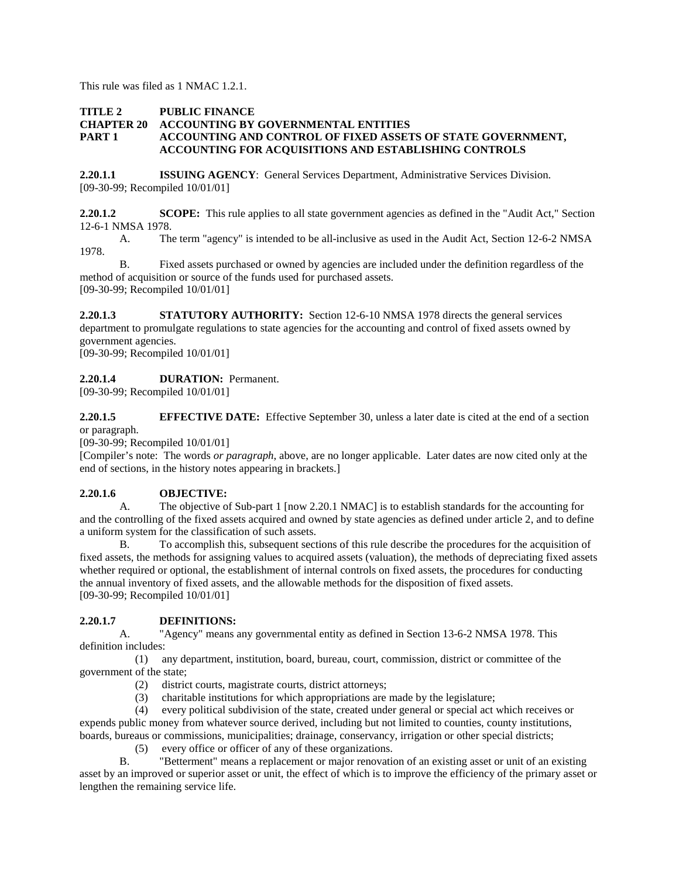This rule was filed as 1 NMAC 1.2.1.

## **TITLE 2 PUBLIC FINANCE<br>CHAPTER 20 ACCOUNTING BY ACCOUNTING BY GOVERNMENTAL ENTITIES PART 1 ACCOUNTING AND CONTROL OF FIXED ASSETS OF STATE GOVERNMENT, ACCOUNTING FOR ACQUISITIONS AND ESTABLISHING CONTROLS**

**2.20.1.1 ISSUING AGENCY**: General Services Department, Administrative Services Division. [09-30-99; Recompiled 10/01/01]

**2.20.1.2 SCOPE:** This rule applies to all state government agencies as defined in the "Audit Act," Section 12-6-1 NMSA 1978.

A. The term "agency" is intended to be all-inclusive as used in the Audit Act, Section 12-6-2 NMSA 1978.

B. Fixed assets purchased or owned by agencies are included under the definition regardless of the method of acquisition or source of the funds used for purchased assets. [09-30-99; Recompiled 10/01/01]

**2.20.1.3 STATUTORY AUTHORITY:** Section 12-6-10 NMSA 1978 directs the general services department to promulgate regulations to state agencies for the accounting and control of fixed assets owned by government agencies.

[09-30-99; Recompiled 10/01/01]

## **2.20.1.4 DURATION:** Permanent.

[09-30-99; Recompiled 10/01/01]

**2.20.1.5 EFFECTIVE DATE:** Effective September 30, unless a later date is cited at the end of a section or paragraph.

[09-30-99; Recompiled 10/01/01]

[Compiler's note: The words *or paragraph*, above, are no longer applicable. Later dates are now cited only at the end of sections, in the history notes appearing in brackets.]

## **2.20.1.6 OBJECTIVE:**

A. The objective of Sub-part 1 [now 2.20.1 NMAC] is to establish standards for the accounting for and the controlling of the fixed assets acquired and owned by state agencies as defined under article 2, and to define a uniform system for the classification of such assets.

B. To accomplish this, subsequent sections of this rule describe the procedures for the acquisition of fixed assets, the methods for assigning values to acquired assets (valuation), the methods of depreciating fixed assets whether required or optional, the establishment of internal controls on fixed assets, the procedures for conducting the annual inventory of fixed assets, and the allowable methods for the disposition of fixed assets. [09-30-99; Recompiled 10/01/01]

# **2.20.1.7 DEFINITIONS:**

A. "Agency" means any governmental entity as defined in Section 13-6-2 NMSA 1978. This definition includes:

 (1) any department, institution, board, bureau, court, commission, district or committee of the government of the state;

- (2) district courts, magistrate courts, district attorneys;
- (3) charitable institutions for which appropriations are made by the legislature;

 (4) every political subdivision of the state, created under general or special act which receives or expends public money from whatever source derived, including but not limited to counties, county institutions, boards, bureaus or commissions, municipalities; drainage, conservancy, irrigation or other special districts;

(5) every office or officer of any of these organizations.

B. "Betterment" means a replacement or major renovation of an existing asset or unit of an existing asset by an improved or superior asset or unit, the effect of which is to improve the efficiency of the primary asset or lengthen the remaining service life.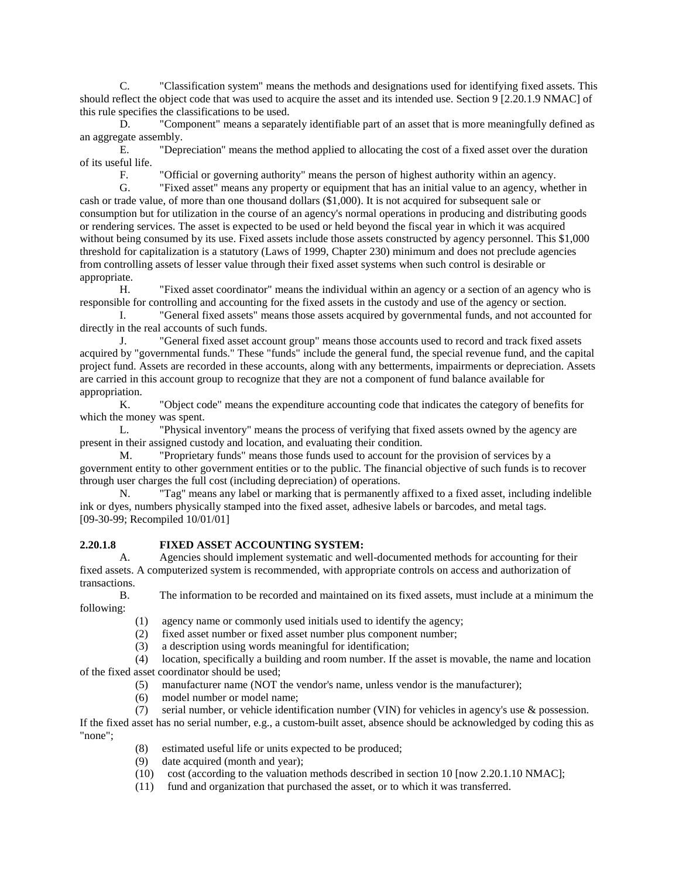C. "Classification system" means the methods and designations used for identifying fixed assets. This should reflect the object code that was used to acquire the asset and its intended use. Section 9 [2.20.1.9 NMAC] of this rule specifies the classifications to be used.

D. "Component" means a separately identifiable part of an asset that is more meaningfully defined as an aggregate assembly.

E. "Depreciation" means the method applied to allocating the cost of a fixed asset over the duration of its useful life.

F. "Official or governing authority" means the person of highest authority within an agency.

G. "Fixed asset" means any property or equipment that has an initial value to an agency, whether in cash or trade value, of more than one thousand dollars (\$1,000). It is not acquired for subsequent sale or consumption but for utilization in the course of an agency's normal operations in producing and distributing goods or rendering services. The asset is expected to be used or held beyond the fiscal year in which it was acquired without being consumed by its use. Fixed assets include those assets constructed by agency personnel. This \$1,000 threshold for capitalization is a statutory (Laws of 1999, Chapter 230) minimum and does not preclude agencies from controlling assets of lesser value through their fixed asset systems when such control is desirable or appropriate.

H. "Fixed asset coordinator" means the individual within an agency or a section of an agency who is responsible for controlling and accounting for the fixed assets in the custody and use of the agency or section.

I. "General fixed assets" means those assets acquired by governmental funds, and not accounted for directly in the real accounts of such funds.

J. "General fixed asset account group" means those accounts used to record and track fixed assets acquired by "governmental funds." These "funds" include the general fund, the special revenue fund, and the capital project fund. Assets are recorded in these accounts, along with any betterments, impairments or depreciation. Assets are carried in this account group to recognize that they are not a component of fund balance available for appropriation.

K. "Object code" means the expenditure accounting code that indicates the category of benefits for which the money was spent.

L. "Physical inventory" means the process of verifying that fixed assets owned by the agency are present in their assigned custody and location, and evaluating their condition.

M. "Proprietary funds" means those funds used to account for the provision of services by a government entity to other government entities or to the public. The financial objective of such funds is to recover through user charges the full cost (including depreciation) of operations.

N. "Tag" means any label or marking that is permanently affixed to a fixed asset, including indelible ink or dyes, numbers physically stamped into the fixed asset, adhesive labels or barcodes, and metal tags. [09-30-99; Recompiled 10/01/01]

## **2.20.1.8 FIXED ASSET ACCOUNTING SYSTEM:**

A. Agencies should implement systematic and well-documented methods for accounting for their fixed assets. A computerized system is recommended, with appropriate controls on access and authorization of transactions.

following:

- B. The information to be recorded and maintained on its fixed assets, must include at a minimum the
	- (1) agency name or commonly used initials used to identify the agency;
	- (2) fixed asset number or fixed asset number plus component number;
	- (3) a description using words meaningful for identification;

 (4) location, specifically a building and room number. If the asset is movable, the name and location of the fixed asset coordinator should be used;

- (5) manufacturer name (NOT the vendor's name, unless vendor is the manufacturer);
- (6) model number or model name;
- (7) serial number, or vehicle identification number (VIN) for vehicles in agency's use & possession.

If the fixed asset has no serial number, e.g., a custom-built asset, absence should be acknowledged by coding this as "none";

- (8) estimated useful life or units expected to be produced;
- (9) date acquired (month and year);
- (10) cost (according to the valuation methods described in section 10 [now 2.20.1.10 NMAC];
- (11) fund and organization that purchased the asset, or to which it was transferred.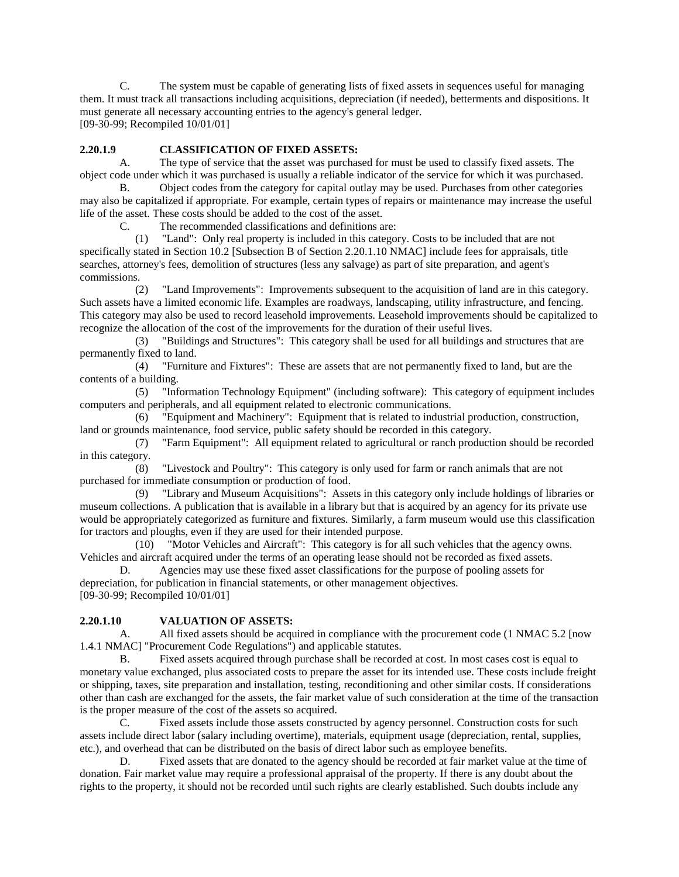C. The system must be capable of generating lists of fixed assets in sequences useful for managing them. It must track all transactions including acquisitions, depreciation (if needed), betterments and dispositions. It must generate all necessary accounting entries to the agency's general ledger. [09-30-99; Recompiled 10/01/01]

#### **2.20.1.9 CLASSIFICATION OF FIXED ASSETS:**

A. The type of service that the asset was purchased for must be used to classify fixed assets. The object code under which it was purchased is usually a reliable indicator of the service for which it was purchased.

B. Object codes from the category for capital outlay may be used. Purchases from other categories may also be capitalized if appropriate. For example, certain types of repairs or maintenance may increase the useful life of the asset. These costs should be added to the cost of the asset.

C. The recommended classifications and definitions are:

 (1) "Land": Only real property is included in this category. Costs to be included that are not specifically stated in Section 10.2 [Subsection B of Section 2.20.1.10 NMAC] include fees for appraisals, title searches, attorney's fees, demolition of structures (less any salvage) as part of site preparation, and agent's commissions.

 (2) "Land Improvements": Improvements subsequent to the acquisition of land are in this category. Such assets have a limited economic life. Examples are roadways, landscaping, utility infrastructure, and fencing. This category may also be used to record leasehold improvements. Leasehold improvements should be capitalized to recognize the allocation of the cost of the improvements for the duration of their useful lives.

 (3) "Buildings and Structures": This category shall be used for all buildings and structures that are permanently fixed to land.

 (4) "Furniture and Fixtures": These are assets that are not permanently fixed to land, but are the contents of a building.

 (5) "Information Technology Equipment" (including software): This category of equipment includes computers and peripherals, and all equipment related to electronic communications.

 (6) "Equipment and Machinery": Equipment that is related to industrial production, construction, land or grounds maintenance, food service, public safety should be recorded in this category.

 (7) "Farm Equipment": All equipment related to agricultural or ranch production should be recorded in this category.

 (8) "Livestock and Poultry": This category is only used for farm or ranch animals that are not purchased for immediate consumption or production of food.

 (9) "Library and Museum Acquisitions": Assets in this category only include holdings of libraries or museum collections. A publication that is available in a library but that is acquired by an agency for its private use would be appropriately categorized as furniture and fixtures. Similarly, a farm museum would use this classification for tractors and ploughs, even if they are used for their intended purpose.

 (10) "Motor Vehicles and Aircraft": This category is for all such vehicles that the agency owns. Vehicles and aircraft acquired under the terms of an operating lease should not be recorded as fixed assets.

D. Agencies may use these fixed asset classifications for the purpose of pooling assets for depreciation, for publication in financial statements, or other management objectives. [09-30-99; Recompiled 10/01/01]

## **2.20.1.10 VALUATION OF ASSETS:**

A. All fixed assets should be acquired in compliance with the procurement code (1 NMAC 5.2 [now 1.4.1 NMAC] "Procurement Code Regulations") and applicable statutes.

B. Fixed assets acquired through purchase shall be recorded at cost. In most cases cost is equal to monetary value exchanged, plus associated costs to prepare the asset for its intended use. These costs include freight or shipping, taxes, site preparation and installation, testing, reconditioning and other similar costs. If considerations other than cash are exchanged for the assets, the fair market value of such consideration at the time of the transaction is the proper measure of the cost of the assets so acquired.

C. Fixed assets include those assets constructed by agency personnel. Construction costs for such assets include direct labor (salary including overtime), materials, equipment usage (depreciation, rental, supplies, etc.), and overhead that can be distributed on the basis of direct labor such as employee benefits.

D. Fixed assets that are donated to the agency should be recorded at fair market value at the time of donation. Fair market value may require a professional appraisal of the property. If there is any doubt about the rights to the property, it should not be recorded until such rights are clearly established. Such doubts include any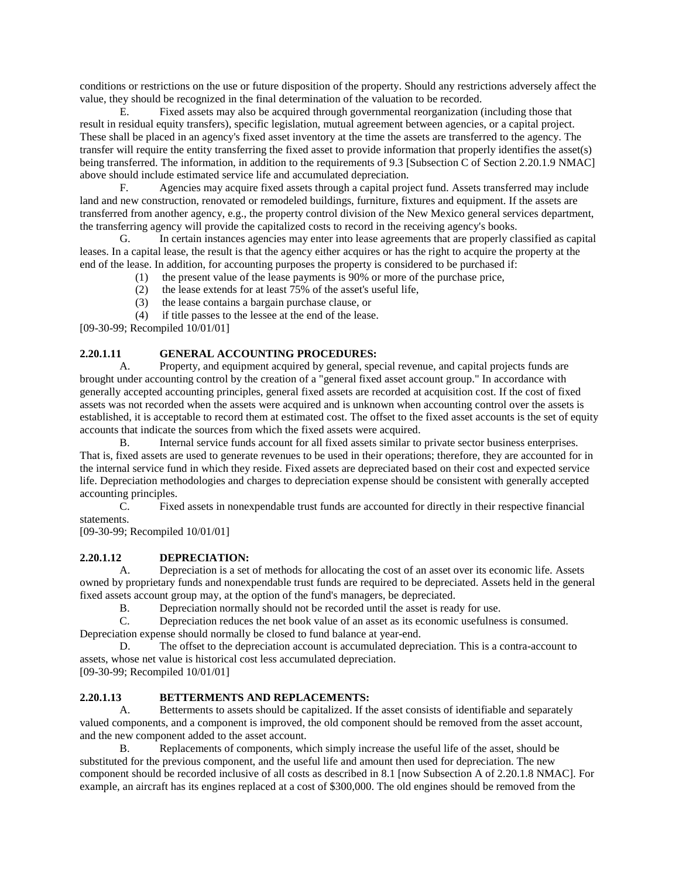conditions or restrictions on the use or future disposition of the property. Should any restrictions adversely affect the value, they should be recognized in the final determination of the valuation to be recorded.

E. Fixed assets may also be acquired through governmental reorganization (including those that result in residual equity transfers), specific legislation, mutual agreement between agencies, or a capital project. These shall be placed in an agency's fixed asset inventory at the time the assets are transferred to the agency. The transfer will require the entity transferring the fixed asset to provide information that properly identifies the asset(s) being transferred. The information, in addition to the requirements of 9.3 [Subsection C of Section 2.20.1.9 NMAC] above should include estimated service life and accumulated depreciation.

F. Agencies may acquire fixed assets through a capital project fund. Assets transferred may include land and new construction, renovated or remodeled buildings, furniture, fixtures and equipment. If the assets are transferred from another agency, e.g., the property control division of the New Mexico general services department, the transferring agency will provide the capitalized costs to record in the receiving agency's books.

G. In certain instances agencies may enter into lease agreements that are properly classified as capital leases. In a capital lease, the result is that the agency either acquires or has the right to acquire the property at the end of the lease. In addition, for accounting purposes the property is considered to be purchased if:

- (1) the present value of the lease payments is 90% or more of the purchase price,
- (2) the lease extends for at least 75% of the asset's useful life,
- (3) the lease contains a bargain purchase clause, or

(4) if title passes to the lessee at the end of the lease.

[09-30-99; Recompiled 10/01/01]

## **2.20.1.11 GENERAL ACCOUNTING PROCEDURES:**

A. Property, and equipment acquired by general, special revenue, and capital projects funds are brought under accounting control by the creation of a "general fixed asset account group." In accordance with generally accepted accounting principles, general fixed assets are recorded at acquisition cost. If the cost of fixed assets was not recorded when the assets were acquired and is unknown when accounting control over the assets is established, it is acceptable to record them at estimated cost. The offset to the fixed asset accounts is the set of equity accounts that indicate the sources from which the fixed assets were acquired.

B. Internal service funds account for all fixed assets similar to private sector business enterprises. That is, fixed assets are used to generate revenues to be used in their operations; therefore, they are accounted for in the internal service fund in which they reside. Fixed assets are depreciated based on their cost and expected service life. Depreciation methodologies and charges to depreciation expense should be consistent with generally accepted accounting principles.

C. Fixed assets in nonexpendable trust funds are accounted for directly in their respective financial statements.

[09-30-99; Recompiled 10/01/01]

## **2.20.1.12 DEPRECIATION:**

A. Depreciation is a set of methods for allocating the cost of an asset over its economic life. Assets owned by proprietary funds and nonexpendable trust funds are required to be depreciated. Assets held in the general fixed assets account group may, at the option of the fund's managers, be depreciated.

B. Depreciation normally should not be recorded until the asset is ready for use.

C. Depreciation reduces the net book value of an asset as its economic usefulness is consumed. Depreciation expense should normally be closed to fund balance at year-end.

D. The offset to the depreciation account is accumulated depreciation. This is a contra-account to assets, whose net value is historical cost less accumulated depreciation. [09-30-99; Recompiled 10/01/01]

**2.20.1.13 BETTERMENTS AND REPLACEMENTS:**

A. Betterments to assets should be capitalized. If the asset consists of identifiable and separately valued components, and a component is improved, the old component should be removed from the asset account, and the new component added to the asset account.

B. Replacements of components, which simply increase the useful life of the asset, should be substituted for the previous component, and the useful life and amount then used for depreciation. The new component should be recorded inclusive of all costs as described in 8.1 [now Subsection A of 2.20.1.8 NMAC]. For example, an aircraft has its engines replaced at a cost of \$300,000. The old engines should be removed from the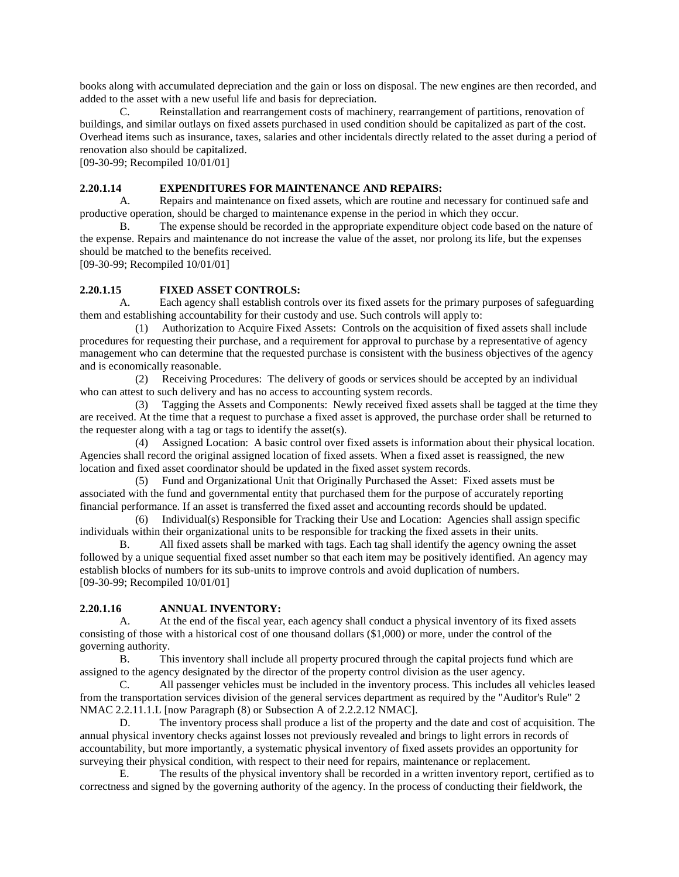books along with accumulated depreciation and the gain or loss on disposal. The new engines are then recorded, and added to the asset with a new useful life and basis for depreciation.

C. Reinstallation and rearrangement costs of machinery, rearrangement of partitions, renovation of buildings, and similar outlays on fixed assets purchased in used condition should be capitalized as part of the cost. Overhead items such as insurance, taxes, salaries and other incidentals directly related to the asset during a period of renovation also should be capitalized.

[09-30-99; Recompiled 10/01/01]

#### **2.20.1.14 EXPENDITURES FOR MAINTENANCE AND REPAIRS:**

A. Repairs and maintenance on fixed assets, which are routine and necessary for continued safe and productive operation, should be charged to maintenance expense in the period in which they occur.

B. The expense should be recorded in the appropriate expenditure object code based on the nature of the expense. Repairs and maintenance do not increase the value of the asset, nor prolong its life, but the expenses should be matched to the benefits received.

[09-30-99; Recompiled 10/01/01]

# **2.20.1.15 FIXED ASSET CONTROLS:**

A. Each agency shall establish controls over its fixed assets for the primary purposes of safeguarding them and establishing accountability for their custody and use. Such controls will apply to:<br>(1) Authorization to Acquire Fixed Assets: Controls on the acquisition of fixed

 (1) Authorization to Acquire Fixed Assets: Controls on the acquisition of fixed assets shall include procedures for requesting their purchase, and a requirement for approval to purchase by a representative of agency management who can determine that the requested purchase is consistent with the business objectives of the agency and is economically reasonable.

 (2) Receiving Procedures: The delivery of goods or services should be accepted by an individual who can attest to such delivery and has no access to accounting system records.

 (3) Tagging the Assets and Components: Newly received fixed assets shall be tagged at the time they are received. At the time that a request to purchase a fixed asset is approved, the purchase order shall be returned to the requester along with a tag or tags to identify the asset(s).

 (4) Assigned Location: A basic control over fixed assets is information about their physical location. Agencies shall record the original assigned location of fixed assets. When a fixed asset is reassigned, the new location and fixed asset coordinator should be updated in the fixed asset system records.

 (5) Fund and Organizational Unit that Originally Purchased the Asset: Fixed assets must be associated with the fund and governmental entity that purchased them for the purpose of accurately reporting financial performance. If an asset is transferred the fixed asset and accounting records should be updated.

 (6) Individual(s) Responsible for Tracking their Use and Location: Agencies shall assign specific individuals within their organizational units to be responsible for tracking the fixed assets in their units.

B. All fixed assets shall be marked with tags. Each tag shall identify the agency owning the asset followed by a unique sequential fixed asset number so that each item may be positively identified. An agency may establish blocks of numbers for its sub-units to improve controls and avoid duplication of numbers. [09-30-99; Recompiled 10/01/01]

#### **2.20.1.16 ANNUAL INVENTORY:**

A. At the end of the fiscal year, each agency shall conduct a physical inventory of its fixed assets consisting of those with a historical cost of one thousand dollars (\$1,000) or more, under the control of the governing authority.<br>B. Th

This inventory shall include all property procured through the capital projects fund which are assigned to the agency designated by the director of the property control division as the user agency.

C. All passenger vehicles must be included in the inventory process. This includes all vehicles leased from the transportation services division of the general services department as required by the "Auditor's Rule" 2 NMAC 2.2.11.1.L [now Paragraph (8) or Subsection A of 2.2.2.12 NMAC].

D. The inventory process shall produce a list of the property and the date and cost of acquisition. The annual physical inventory checks against losses not previously revealed and brings to light errors in records of accountability, but more importantly, a systematic physical inventory of fixed assets provides an opportunity for surveying their physical condition, with respect to their need for repairs, maintenance or replacement.

E. The results of the physical inventory shall be recorded in a written inventory report, certified as to correctness and signed by the governing authority of the agency. In the process of conducting their fieldwork, the